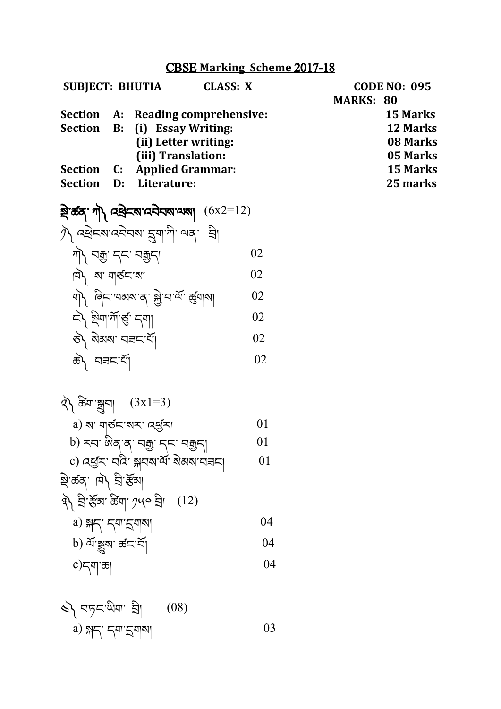### CBSE **Marking Scheme** 2017-18

| <b>SUBJECT: BHUTIA</b>                                   | <b>CLASS: X</b>                                                                               |    | <b>CODE NO: 095</b><br><b>MARKS: 80</b>             |
|----------------------------------------------------------|-----------------------------------------------------------------------------------------------|----|-----------------------------------------------------|
| Section<br>Section<br>B:                                 | A: Reading comprehensive:<br>(i) Essay Writing:<br>(ii) Letter writing:<br>(iii) Translation: |    | 15 Marks<br><b>12 Marks</b><br>08 Marks<br>05 Marks |
| <b>Section</b><br>$\mathbf{C}$ :<br><b>Section</b><br>D: | <b>Applied Grammar:</b><br>Literature:                                                        |    | <b>15 Marks</b><br>25 marks                         |
|                                                          | ষ্ট্র'র্ক্তব্' শী মন্ত্রী ব্যানেইনম'ন্মমা $(6x2=12)$                                          |    |                                                     |
|                                                          | $\mathcal{D}$ as extracted and $\mathcal{D}$                                                  |    |                                                     |
| गो। यक्कु द्रूप वक्कुद्                                  |                                                                                               | 02 |                                                     |
| $\ket{A}$ a' $\ket{A}$                                   |                                                                                               | 02 |                                                     |
|                                                          | यो बिहावसबादा क्ले बाला रहना                                                                  | 02 |                                                     |
| ন্} ষ্ট্ৰণ'ৰ্শ'ৰ্ন্ড' নশা                                |                                                                                               | 02 |                                                     |
| ষ্টী ৰাজ্য ব্ৰহ'ৰ্মী                                     |                                                                                               | 02 |                                                     |
| क्षे\ सन्नदर्भा                                          |                                                                                               | 02 |                                                     |
|                                                          |                                                                                               |    |                                                     |

༢༽ ཆ ིག་སྒྲུབ། (3x1=3) a) ས་ གཙང་སར་ འཕ ར། 01 b) རབ་ ཨིན་ན་ བརྒྱ་ དང་ བརྒྱད། 01 c) འཕ ར་ བའི་ སྐབས་ལོ་ སྡེམས་བཟང། 01 སྡེ་ཚན་ ཁ༽ བི་རོམ། ༣༽ བི་རོམ་ ཆ ིག་༡༥༠ བི། (12) a) སྐད་ དག་དྲགས། 04 b) ལོ་སྒྱུས་ ཚང་བོ། 04 c)དག་ཆ། 04

༤༽ བཏང་ཡིག་ བི། (08)

a)  $\frac{1}{2}$   $\frac{1}{2}$   $\frac{1}{2}$   $\frac{1}{2}$   $\frac{1}{2}$   $\frac{1}{2}$   $\frac{1}{2}$   $\frac{1}{2}$   $\frac{1}{2}$   $\frac{1}{2}$   $\frac{1}{2}$   $\frac{1}{2}$   $\frac{1}{2}$   $\frac{1}{2}$   $\frac{1}{2}$   $\frac{1}{2}$   $\frac{1}{2}$   $\frac{1}{2}$   $\frac{1}{2}$   $\frac{1}{2}$   $\frac{1}{2}$   $\frac{1}{2}$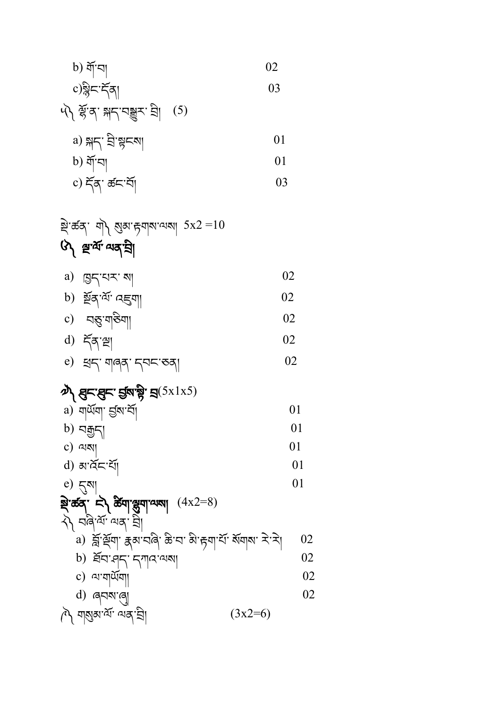| ষ্ট্ৰ'ৰ্ক্তব্' শ্ৰী ম্ভ্ৰম'ল্পৰাম্মা $5$ x2 $\!=\!10$            |    |
|------------------------------------------------------------------|----|
| ্য দ্ৰুৰ্শ্ম অব্দ্বী                                             |    |
| a) ব্ৰহ্মহ মা                                                    | 02 |
| b) য়ূঁৰ <sup>, মৃ</sup> নহ্ৰশা                                  | 02 |
| $\mathbf{c})$                                                    | 02 |
| $d)$ $\tilde{\tau}$ $\tilde{\tau}$ $\approx$                     | 02 |
| e) ध्रम् यावव् मण्डला                                            | 02 |
| $\boldsymbol{\psi}$ ਸ਼ੁਨਾਸ਼ੁਨਾ ਚੁੱਕਾਂਝ੍ਹੇ' ਸ਼੍ਰ $(5x1x5)$        |    |
| a) নানুৱা প্ৰিথ.বুl                                              | 01 |
| b) নক্কুন্                                                       | 01 |
| c) ঝম্ম                                                          | 01 |
| d) ৰাৰ্বহাৰ্যা                                                   | 01 |
| e) $\overline{\zeta}$ N                                          | 01 |
| ষ্ণ কৰ্ম দী ৰ্টমাঞ্জুমাণ্যমা $(4x2=8)$                           |    |
| $\lambda$ বন্ত্ৰিক্ষ অন্য শ্ৰী                                   |    |
| a) ब्लॅं र्थ्र्या' क्ष्व'पवि' क्रे'प' वे'ह्या'र्य' वॅयावा' रे'रे | 02 |
| b) क्षेत्र भू - एगात्र अब                                        | 02 |
| c) থ'যার্ <sup>নু</sup> যা                                       | 02 |
| d) ৰ্নম'ৰো                                                       | 02 |
| শৈ শমুষ'ৰ্শ শৰ্'হ্ৰী<br>$(3x2=6)$                                |    |

| a) $\Re \left( \frac{1}{2} \Re \sin \theta \right)$ | 01 |
|-----------------------------------------------------|----|
| b) $\Im \left( \frac{1}{2} \Re \cos \theta \right)$ | 01 |
| c) $\Im \left( \frac{1}{2} \Re \cos \theta \right)$ | 03 |

 b) གོ་བ། 02 c)སིང་དོན། 03 ༥༽ ལོ་ན་ སྐད་བསྒྱུར་ བི། (5)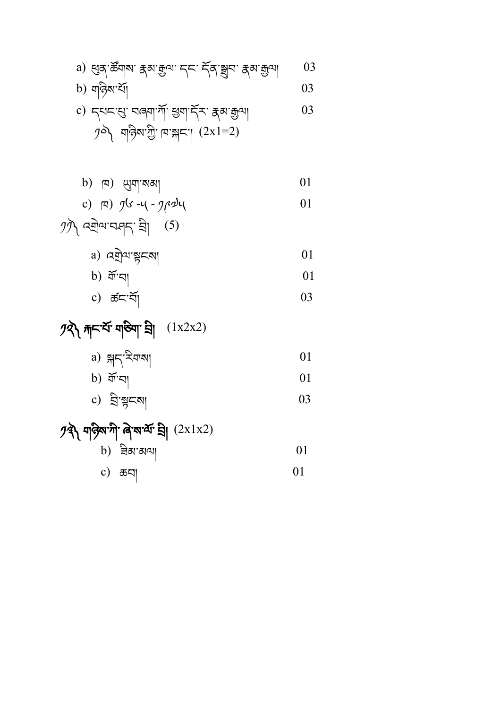$$
01
$$
  
c)  $\overline{a}$ 

$$
b) \quad \text{and} \quad 01
$$

## $\mathcal{D}$ दी यात्रियांगी बिरुषाया चे (2x1x2)

b) 
$$
\tilde{q}[\text{eq}]\
$$
 01  
c)  $\tilde{q}[\text{eq}]\$  03

a) 
$$
\Re \left( \frac{1}{2} \Re \left( \frac{1}{2} \Re \left( \frac{1}{2} \Re \left( \frac{1}{2} \Re \left( \frac{1}{2} \Re \left( \frac{1}{2} \Re \left( \frac{1}{2} \Re \left( \frac{1}{2} \Re \left( \frac{1}{2} \Re \left( \frac{1}{2} \Re \left( \frac{1}{2} \Re \left( \frac{1}{2} \Re \left( \frac{1}{2} \Re \left( \frac{1}{2} \Re \left( \frac{1}{2} \Re \left( \frac{1}{2} \Re \left( \frac{1}{2} \Re \left( \frac{1}{2} \Re \left( \frac{1}{2} \Re \left( \frac{1}{2} \Re \left( \frac{1}{2} \Re \left( \frac{1}{2} \Re \left( \frac{1}{2} \Re \left( \frac{1}{2} \Re \left( \frac{1}{2} \Re \left( \frac{1}{2} \Re \left( \frac{1}{2} \Re \left( \frac{1}{2} \Re \left( \frac{1}{2} \Re \left( \frac{1}{2} \Re \left( \frac{1}{2} \Re \left( \frac{1}{2} \Re \left( \frac{1}{2} \Re \left( \frac{1}{2} \Re \left( \frac{1}{2} \Re \left( \frac{1}{2} \Re \left( \frac{1}{2} \Re \left( \frac{1}{2} \Re \left( \frac{1}{2} \Re \left( \frac{1}{2} \Re \left( \frac{1}{2} \Re \left( \frac{1}{2} \Re \left( \frac{1}{2} \Re \left( \frac{1}{2} \Re \left( \frac{1}{2} \Re \left( \frac{1}{2} \Re \left( \frac{1}{2} \Re \left( \frac{1}{2} \Re \left( \frac{1}{2} \Re \left( \frac{1}{2} \Re \left( \frac{1}{2} \Re \left( \frac{1}{2} \Re \left( \frac{1}{2} \Re \left( \frac{1}{2} \Re \left( \frac{1}{2} \Re \left( \frac{1}{2} \Re \left( \frac{1}{2} \Re \left( \frac{1}{2} \Re \left( \frac{1}{2} \Re \left( \frac{1}{2} \Re \left( \frac{1}{2} \Re \left( \frac{1}{2} \Re \left( \frac{1}{2} \Re \left(
$$

# $\mathcal{P}(\mathbf{X}) = \mathcal{P}(\mathbf{X}) + \mathcal{P}(\mathbf{X})$

b) 
$$
\tilde{q}[\infty]
$$
 01  
c)  $\tilde{\sigma}[\infty] \tilde{q}$  03

$$
\begin{array}{ccc}\n\text{a)} & \text{b)} & \text{c} & \text{d} & \text{d} \\
\text{b)} & \text{d} & \text{c} & \text{d} & \text{d} \\
\text{d} & \text{e} & \text{f} & \text{e} & \text{e} & \text{f} \\
\text{d} & \text{f} & \text{f} & \text{f} & \text{f} & \text{f} \\
\text{f} & \text{f} & \text{f} & \text{f} & \text{f} & \text{f} \\
\text{f} & \text{f} & \text{f} & \text{f} & \text{f} & \text{f} & \text{f} \\
\text{f} & \text{f} & \text{f} & \text{f} & \text{f} & \text{f} & \text{f} \\
\text{f} & \text{f} & \text{f} & \text{f} & \text{f} & \text{f} & \text{f} & \text{f} \\
\text{f} & \text{f} & \text{f} & \text{f} & \text{f} & \text{f} & \text{f} & \text{f} & \text{f} \\
\text{f} & \text{f} & \text{f} & \text{f} & \text{f} & \text{f} & \text{f} & \text{f} & \text{f} & \text{f} \\
\text{f} & \text{f} & \text{f} & \text{f} & \text{f} & \text{f} & \text{f} & \text{f} & \text{f} & \text{f} & \text{f} \\
\text{f} & \text{f} & \text{f} & \text{f} & \text{f} & \text{f} & \text{f} & \text{f} & \text{f} & \text{f} & \text{f} & \text{f} \\
\text{f} & \text{f} & \text{f} & \text{f} & \text{f} & \text{f} & \text{f} & \text{f} & \text{f} & \text{f} & \text{f} & \text{f} & \text{f} \\
\text{f} & \text{f} & \text{f} & \text{f} & \text{f} & \text{f} & \text{f} & \text{f} & \text{f} & \text{f} & \text{f} & \text{f} & \text{f} & \text{f} & \text{f} & \text{f} & \text{f} & \text{f} & \text{f} & \text{f} & \text
$$

a) 
$$
q \sin \left( \frac{1}{2} \pi \right)
$$

$$
y\overline{y} \sim \overline{y}
$$

c) 
$$
\Box
$$
  $\Box$   $\Box$   $\Box$   $\Box$   $\Box$ 

b) 
$$
\boxed{a}
$$
  $\boxed{b}$   $\boxed{d}$ 

$$
c) 54533
$$
\n
$$
d) 54533
$$
\n
$$
d) 34533
$$
\n
$$
d) 34533
$$
\n
$$
e) 54533
$$
\n
$$
f) 63
$$
\n
$$
f) 63
$$
\n
$$
f) 63
$$
\n
$$
f) 63
$$
\n
$$
g) 63
$$
\n
$$
g) 63
$$
\n
$$
g) 63
$$
\n
$$
g) 63
$$
\n
$$
g) 63
$$
\n
$$
g) 63
$$
\n
$$
g) 63
$$
\n
$$
g) 63
$$
\n
$$
g) 63
$$
\n
$$
g) 63
$$
\n
$$
g) 63
$$
\n
$$
g) 63
$$
\n
$$
g) 63
$$
\n
$$
g) 63
$$
\n
$$
g) 63
$$
\n
$$
g) 63
$$
\n
$$
g) 63
$$
\n
$$
g) 63
$$
\n
$$
g) 63
$$
\n
$$
g) 63
$$
\n
$$
g) 63
$$
\n
$$
g) 63
$$
\n
$$
g) 63
$$
\n
$$
g) 63
$$
\n
$$
g) 63
$$
\n
$$
g) 63
$$
\n
$$
g) 63
$$
\n
$$
g) 63
$$
\n
$$
g) 63
$$
\n
$$
g) 63
$$
\n
$$
g) 63
$$
\n
$$
g) 63
$$
\n
$$
g) 63
$$
\n
$$
g) 63
$$
\n
$$
g) 63
$$
\n
$$
g) 63
$$
\n
$$
g) 63
$$
\n
$$
g) 63
$$
\n
$$
g) 63
$$
\n
$$
g) 63
$$
\n
$$
g) 63
$$
\n

b) 
$$
\sqrt{3} \sin \left( \frac{3\pi}{2} \right)
$$

a) ཕུན་ཚོགས་ རྣམ་རྒྱལ་ དང་ དོན་སྒྲུབ་ རྣམ་རྒྱལ། 03